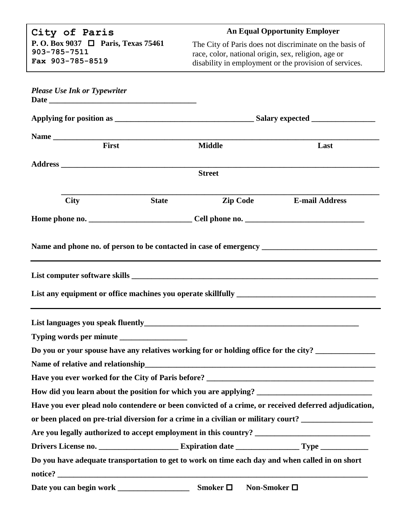| City of Paris                                                                                        |              | <b>An Equal Opportunity Employer</b>                                                                          |                                                         |  |  |  |
|------------------------------------------------------------------------------------------------------|--------------|---------------------------------------------------------------------------------------------------------------|---------------------------------------------------------|--|--|--|
| P. O. Box 9037 □ Paris, Texas 75461                                                                  |              |                                                                                                               | The City of Paris does not discriminate on the basis of |  |  |  |
| 903-785-7511<br>Fax 903-785-8519                                                                     |              | race, color, national origin, sex, religion, age or<br>disability in employment or the provision of services. |                                                         |  |  |  |
|                                                                                                      |              |                                                                                                               |                                                         |  |  |  |
| <b>Please Use Ink or Typewriter</b>                                                                  |              |                                                                                                               |                                                         |  |  |  |
|                                                                                                      |              |                                                                                                               |                                                         |  |  |  |
|                                                                                                      |              |                                                                                                               |                                                         |  |  |  |
|                                                                                                      |              |                                                                                                               |                                                         |  |  |  |
| First                                                                                                |              | <b>Middle</b>                                                                                                 | Last                                                    |  |  |  |
|                                                                                                      |              |                                                                                                               |                                                         |  |  |  |
|                                                                                                      |              | <b>Street</b>                                                                                                 |                                                         |  |  |  |
| <b>City</b>                                                                                          | <b>State</b> | <b>Zip Code</b>                                                                                               | <b>E-mail Address</b>                                   |  |  |  |
|                                                                                                      |              |                                                                                                               |                                                         |  |  |  |
|                                                                                                      |              |                                                                                                               |                                                         |  |  |  |
|                                                                                                      |              |                                                                                                               |                                                         |  |  |  |
|                                                                                                      |              |                                                                                                               |                                                         |  |  |  |
| Do you or your spouse have any relatives working for or holding office for the city?                 |              |                                                                                                               |                                                         |  |  |  |
| Name of relative and relationship_                                                                   |              |                                                                                                               |                                                         |  |  |  |
|                                                                                                      |              |                                                                                                               |                                                         |  |  |  |
|                                                                                                      |              |                                                                                                               |                                                         |  |  |  |
| Have you ever plead nolo contendere or been convicted of a crime, or received deferred adjudication, |              |                                                                                                               |                                                         |  |  |  |
| or been placed on pre-trial diversion for a crime in a civilian or military court? ________________  |              |                                                                                                               |                                                         |  |  |  |
|                                                                                                      |              |                                                                                                               |                                                         |  |  |  |
|                                                                                                      |              |                                                                                                               |                                                         |  |  |  |
| Do you have adequate transportation to get to work on time each day and when called in on short      |              |                                                                                                               |                                                         |  |  |  |
|                                                                                                      |              |                                                                                                               |                                                         |  |  |  |
|                                                                                                      |              | Smoker $\Box$<br>Non-Smoker $\square$                                                                         |                                                         |  |  |  |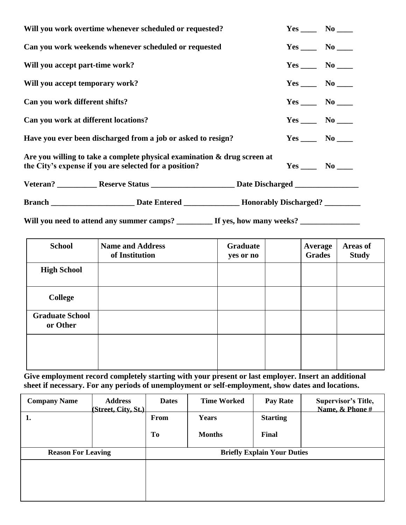| Will you work overtime whenever scheduled or requested? | $Yes \_\_\_ No \_\_\_$                                                                                                                |  |                            |
|---------------------------------------------------------|---------------------------------------------------------------------------------------------------------------------------------------|--|----------------------------|
| Can you work weekends whenever scheduled or requested   | $Yes \_\_\_ No \_\_\_$                                                                                                                |  |                            |
| Will you accept part-time work?                         |                                                                                                                                       |  | $Yes \_\_\_\_ No \_\_\_\_$ |
| Will you accept temporary work?                         |                                                                                                                                       |  | $Yes \_\_\_ No \_\_\_$     |
| Can you work different shifts?                          |                                                                                                                                       |  | $Yes \_\_\_ No \_\_\_$     |
| Can you work at different locations?                    |                                                                                                                                       |  | $Yes \_\_\_ No \_\_\_$     |
|                                                         | Have you ever been discharged from a job or asked to resign?                                                                          |  | $Yes \_\_\_ No \_\_\_$     |
|                                                         | Are you willing to take a complete physical examination $\&$ drug screen at<br>the City's expense if you are selected for a position? |  | $Yes \_\_\_\_ No \_\_\_$   |
|                                                         | Veteran? _____________Reserve Status ____________________________Date Discharged _____________________________                        |  |                            |
|                                                         |                                                                                                                                       |  |                            |
|                                                         | Will you need to attend any summer camps? _________ If yes, how many weeks? _______                                                   |  |                            |

| <b>School</b>                      | <b>Name and Address</b><br>of Institution | Graduate<br>yes or no | <b>Average</b><br><b>Grades</b> | Areas of<br><b>Study</b> |
|------------------------------------|-------------------------------------------|-----------------------|---------------------------------|--------------------------|
| <b>High School</b>                 |                                           |                       |                                 |                          |
| <b>College</b>                     |                                           |                       |                                 |                          |
| <b>Graduate School</b><br>or Other |                                           |                       |                                 |                          |
|                                    |                                           |                       |                                 |                          |

Give employment record completely starting with your present or last employer. Insert an additional **sheet if necessary. For any periods of unemployment or self-employment, show dates and locations.**

| <b>Company Name</b>       | <b>Address</b><br>(Street, City, St.) | <b>Dates</b>                       | <b>Time Worked</b> | <b>Pay Rate</b> | <b>Supervisor's Title,</b><br>Name, & Phone # |  |
|---------------------------|---------------------------------------|------------------------------------|--------------------|-----------------|-----------------------------------------------|--|
| 1.                        |                                       | From                               | Years              | <b>Starting</b> |                                               |  |
|                           |                                       | To                                 | <b>Months</b>      | Final           |                                               |  |
| <b>Reason For Leaving</b> |                                       | <b>Briefly Explain Your Duties</b> |                    |                 |                                               |  |
|                           |                                       |                                    |                    |                 |                                               |  |
|                           |                                       |                                    |                    |                 |                                               |  |
|                           |                                       |                                    |                    |                 |                                               |  |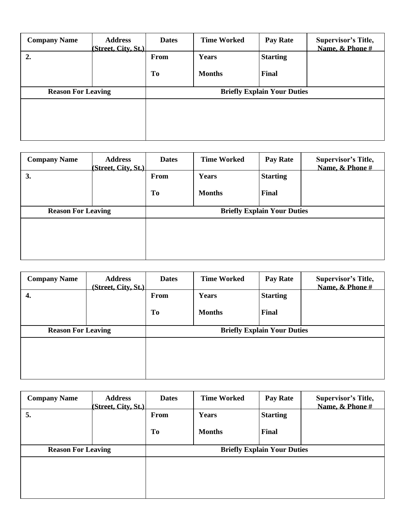| <b>Company Name</b>       | <b>Address</b><br>(Street, City, St.)] | <b>Dates</b>                       | <b>Time Worked</b> | <b>Pay Rate</b> | <b>Supervisor's Title,</b><br>Name, & Phone # |  |
|---------------------------|----------------------------------------|------------------------------------|--------------------|-----------------|-----------------------------------------------|--|
| 2.                        |                                        | From                               | Years              | <b>Starting</b> |                                               |  |
|                           |                                        | To                                 | <b>Months</b>      | Final           |                                               |  |
| <b>Reason For Leaving</b> |                                        | <b>Briefly Explain Your Duties</b> |                    |                 |                                               |  |
|                           |                                        |                                    |                    |                 |                                               |  |
|                           |                                        |                                    |                    |                 |                                               |  |
|                           |                                        |                                    |                    |                 |                                               |  |

| <b>Address</b>            | <b>Dates</b> | <b>Time Worked</b>                 | <b>Pay Rate</b> | <b>Supervisor's Title,</b><br>Name, & Phone # |  |  |
|---------------------------|--------------|------------------------------------|-----------------|-----------------------------------------------|--|--|
|                           | From         | Years                              | <b>Starting</b> |                                               |  |  |
|                           | To           | <b>Months</b>                      | Final           |                                               |  |  |
| <b>Reason For Leaving</b> |              | <b>Briefly Explain Your Duties</b> |                 |                                               |  |  |
|                           |              |                                    |                 |                                               |  |  |
|                           |              |                                    |                 |                                               |  |  |
|                           |              | (Street, City, St.)]               |                 |                                               |  |  |

| <b>Company Name</b>       | <b>Address</b><br>(Street, City, St.) | <b>Dates</b>                       | <b>Time Worked</b> | <b>Pay Rate</b> | <b>Supervisor's Title,</b><br>Name, & Phone # |  |
|---------------------------|---------------------------------------|------------------------------------|--------------------|-----------------|-----------------------------------------------|--|
| 4.                        |                                       | From                               | Years              | <b>Starting</b> |                                               |  |
|                           |                                       | <b>To</b>                          | <b>Months</b>      | Final           |                                               |  |
| <b>Reason For Leaving</b> |                                       | <b>Briefly Explain Your Duties</b> |                    |                 |                                               |  |
|                           |                                       |                                    |                    |                 |                                               |  |
|                           |                                       |                                    |                    |                 |                                               |  |
|                           |                                       |                                    |                    |                 |                                               |  |

| <b>Company Name</b>       | <b>Address</b><br>(Street, City, St.) | <b>Dates</b>                       | <b>Time Worked</b> | <b>Pay Rate</b> | <b>Supervisor's Title,</b><br>Name, & Phone # |  |
|---------------------------|---------------------------------------|------------------------------------|--------------------|-----------------|-----------------------------------------------|--|
| 5.                        |                                       | From                               | Years              | <b>Starting</b> |                                               |  |
|                           |                                       | <b>To</b>                          | <b>Months</b>      | Final           |                                               |  |
| <b>Reason For Leaving</b> |                                       | <b>Briefly Explain Your Duties</b> |                    |                 |                                               |  |
|                           |                                       |                                    |                    |                 |                                               |  |
|                           |                                       |                                    |                    |                 |                                               |  |
|                           |                                       |                                    |                    |                 |                                               |  |